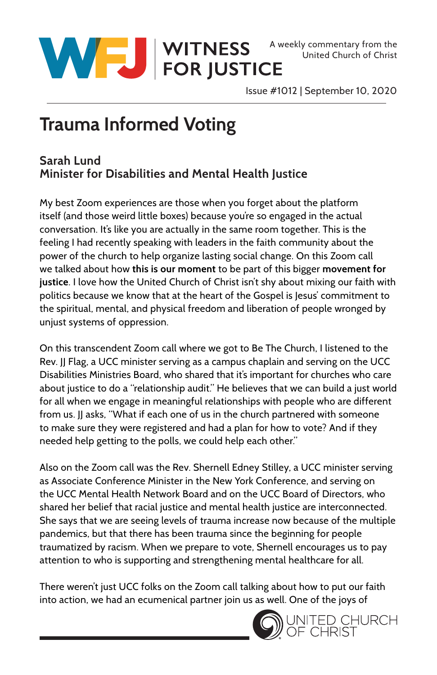

Issue #1012 | September 10, 2020

## **Trauma Informed Voting**

## **Sarah Lund Minister for Disabilities and Mental Health Justice**

My best Zoom experiences are those when you forget about the platform itself (and those weird little boxes) because you're so engaged in the actual conversation. It's like you are actually in the same room together. This is the feeling I had recently speaking with leaders in the faith community about the power of the church to help organize lasting social change. On this Zoom call we talked about how **this is our moment** to be part of this bigger **movement for justice**. I love how the United Church of Christ isn't shy about mixing our faith with politics because we know that at the heart of the Gospel is Jesus' commitment to the spiritual, mental, and physical freedom and liberation of people wronged by unjust systems of oppression.

On this transcendent Zoom call where we got to Be The Church, I listened to the Rev. II Flag, a UCC minister serving as a campus chaplain and serving on the UCC Disabilities Ministries Board, who shared that it's important for churches who care about justice to do a "relationship audit." He believes that we can build a just world for all when we engage in meaningful relationships with people who are different from us. II asks, "What if each one of us in the church partnered with someone to make sure they were registered and had a plan for how to vote? And if they needed help getting to the polls, we could help each other."

Also on the Zoom call was the Rev. Shernell Edney Stilley, a UCC minister serving as Associate Conference Minister in the New York Conference, and serving on the UCC Mental Health Network Board and on the UCC Board of Directors, who shared her belief that racial justice and mental health justice are interconnected. She says that we are seeing levels of trauma increase now because of the multiple pandemics, but that there has been trauma since the beginning for people traumatized by racism. When we prepare to vote, Shernell encourages us to pay attention to who is supporting and strengthening mental healthcare for all.

There weren't just UCC folks on the Zoom call talking about how to put our faith into action, we had an ecumenical partner join us as well. One of the joys of